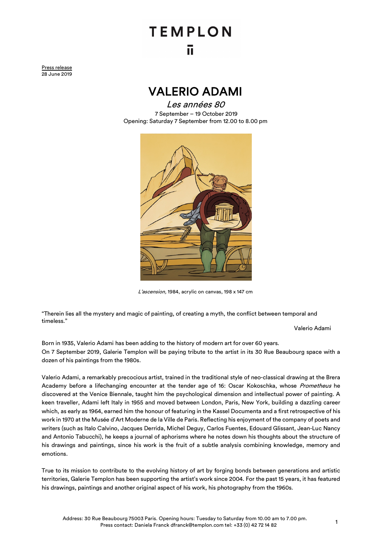## **TEMPLON** īī

Press release 28 June 2019

## VALERIO ADAMI

Les années 80 7 September – 19 October 2019 Opening: Saturday 7 September from 12.00 to 8.00 pm



L'ascension, 1984, acrylic on canvas, 198 x 147 cm

"Therein lies all the mystery and magic of painting, of creating a myth, the conflict between temporal and timeless."

Valerio Adami

Born in 1935, Valerio Adami has been adding to the history of modern art for over 60 years. On 7 September 2019, Galerie Templon will be paying tribute to the artist in its 30 Rue Beaubourg space with a dozen of his paintings from the 1980s.

Valerio Adami, a remarkably precocious artist, trained in the traditional style of neo-classical drawing at the Brera Academy before a lifechanging encounter at the tender age of 16: Oscar Kokoschka, whose Prometheus he discovered at the Venice Biennale, taught him the psychological dimension and intellectual power of painting. A keen traveller, Adami left Italy in 1955 and moved between London, Paris, New York, building a dazzling career which, as early as 1964, earned him the honour of featuring in the Kassel Documenta and a first retrospective of his work in 1970 at the Musée d'Art Moderne de la Ville de Paris. Reflecting his enjoyment of the company of poets and writers (such as Italo Calvino, Jacques Derrida, Michel Deguy, Carlos Fuentes, Edouard Glissant, Jean-Luc Nancy and Antonio Tabucchi), he keeps a journal of aphorisms where he notes down his thoughts about the structure of his drawings and paintings, since his work is the fruit of a subtle analysis combining knowledge, memory and emotions.

True to its mission to contribute to the evolving history of art by forging bonds between generations and artistic territories, Galerie Templon has been supporting the artist's work since 2004. For the past 15 years, it has featured his drawings, paintings and another original aspect of his work, his photography from the 1960s.